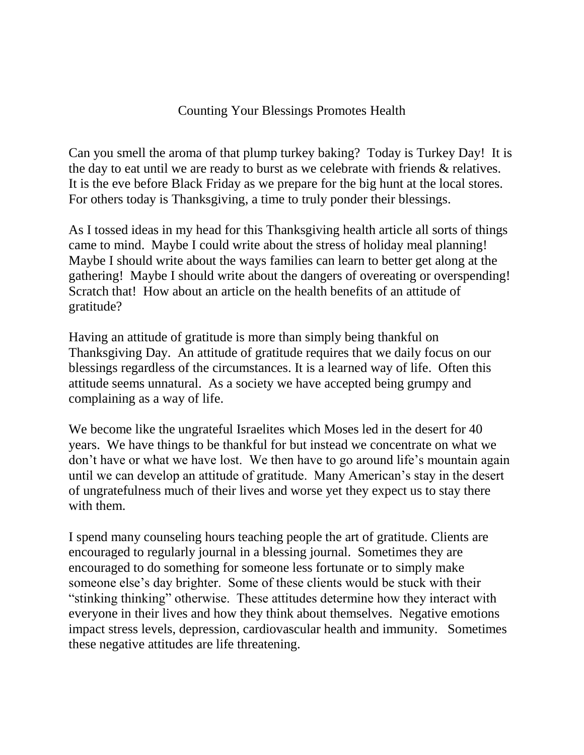## Counting Your Blessings Promotes Health

Can you smell the aroma of that plump turkey baking? Today is Turkey Day! It is the day to eat until we are ready to burst as we celebrate with friends & relatives. It is the eve before Black Friday as we prepare for the big hunt at the local stores. For others today is Thanksgiving, a time to truly ponder their blessings.

As I tossed ideas in my head for this Thanksgiving health article all sorts of things came to mind. Maybe I could write about the stress of holiday meal planning! Maybe I should write about the ways families can learn to better get along at the gathering! Maybe I should write about the dangers of overeating or overspending! Scratch that! How about an article on the health benefits of an attitude of gratitude?

Having an attitude of gratitude is more than simply being thankful on Thanksgiving Day. An attitude of gratitude requires that we daily focus on our blessings regardless of the circumstances. It is a learned way of life. Often this attitude seems unnatural. As a society we have accepted being grumpy and complaining as a way of life.

We become like the ungrateful Israelites which Moses led in the desert for 40 years. We have things to be thankful for but instead we concentrate on what we don't have or what we have lost. We then have to go around life's mountain again until we can develop an attitude of gratitude. Many American's stay in the desert of ungratefulness much of their lives and worse yet they expect us to stay there with them.

I spend many counseling hours teaching people the art of gratitude. Clients are encouraged to regularly journal in a blessing journal. Sometimes they are encouraged to do something for someone less fortunate or to simply make someone else's day brighter. Some of these clients would be stuck with their "stinking thinking" otherwise. These attitudes determine how they interact with everyone in their lives and how they think about themselves. Negative emotions impact stress levels, depression, cardiovascular health and immunity. Sometimes these negative attitudes are life threatening.